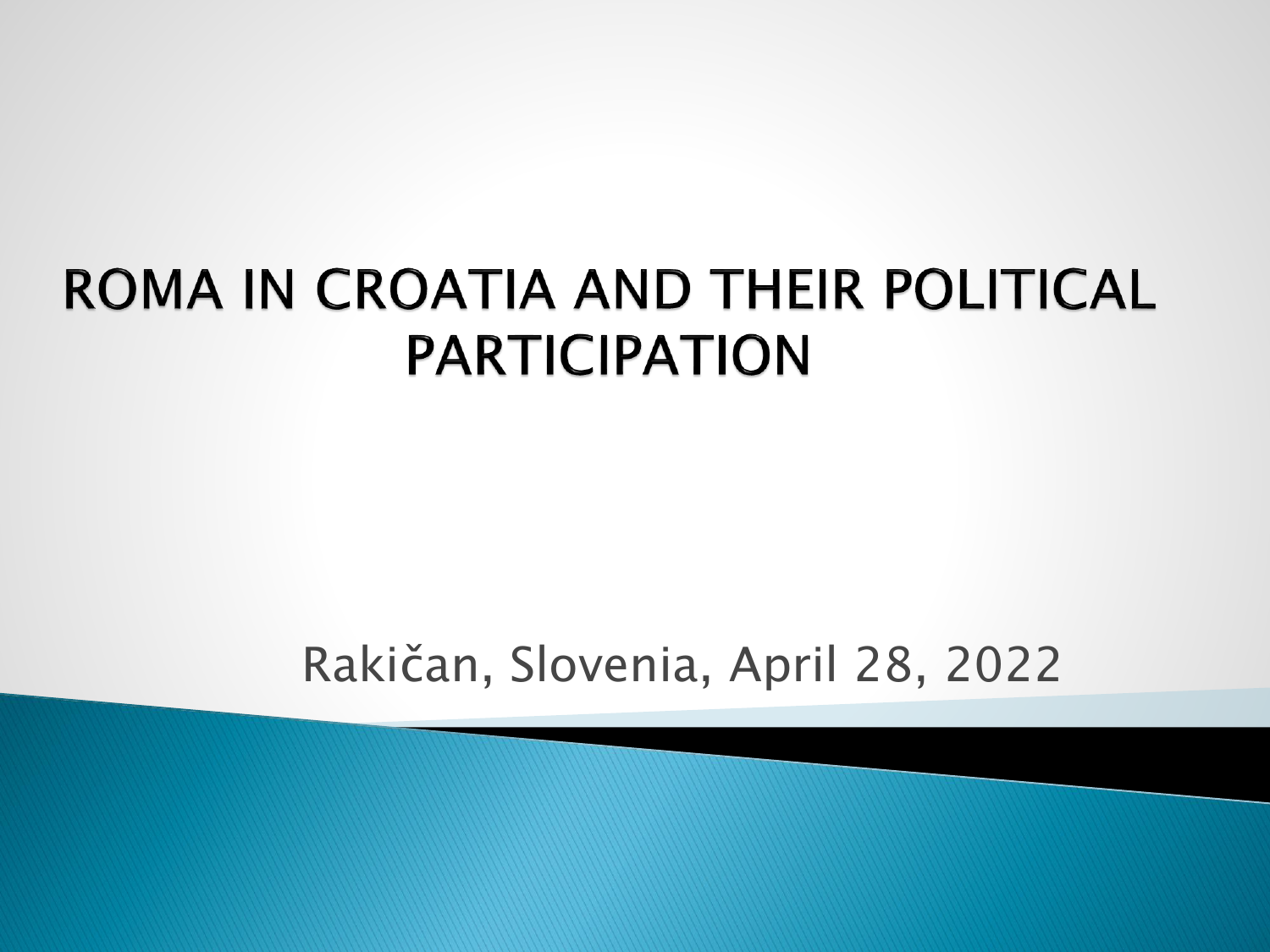#### ROMA IN CROATIA AND THEIR POLITICAL **PARTICIPATION**

Rakičan, Slovenia, April 28, 2022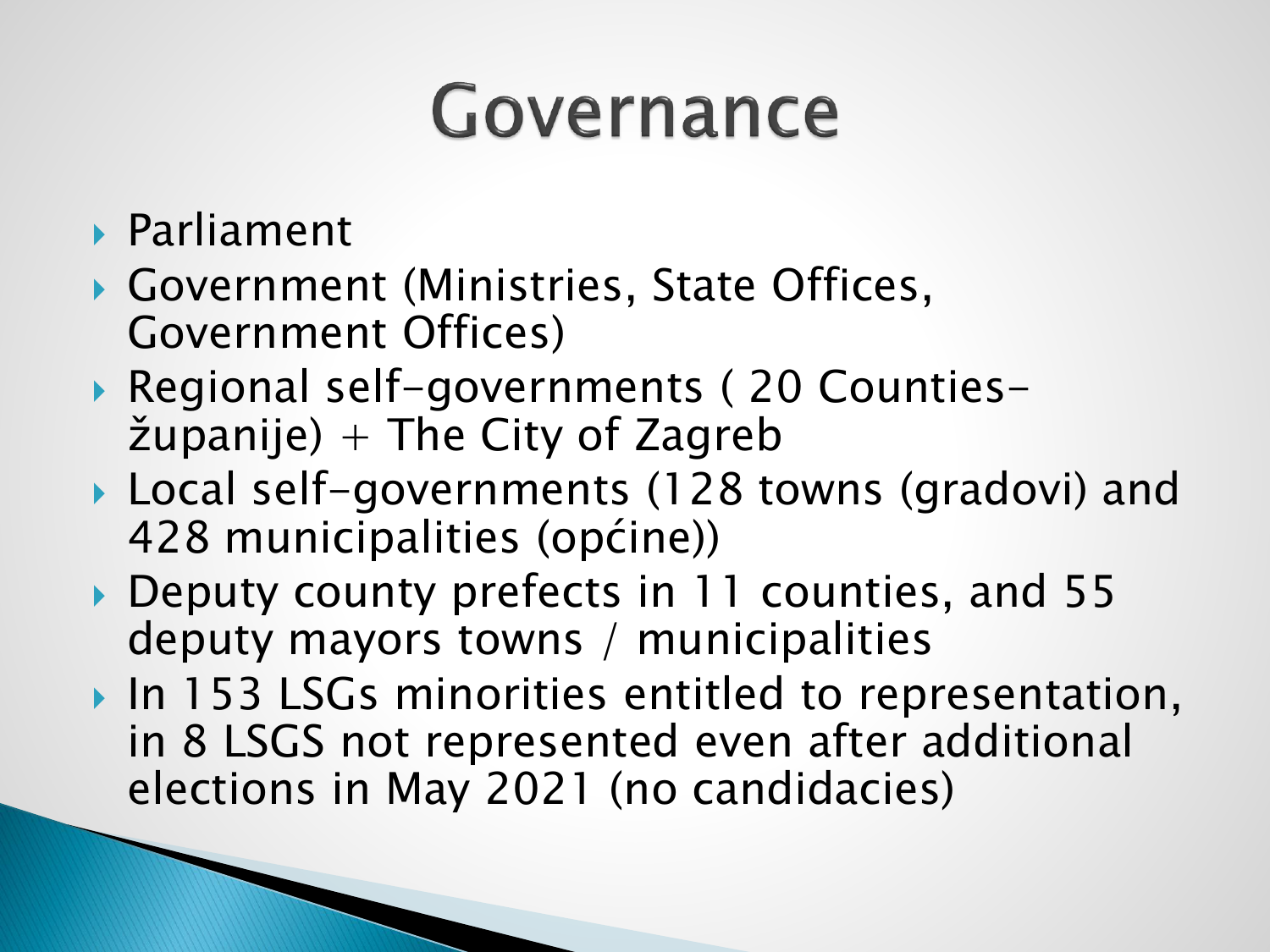#### Governance

- Parliament
- Government (Ministries, State Offices, Government Offices)
- ▶ Regional self-governments (20 Counties- $\check{z}$ upanije) + The City of Zagreb
- ▶ Local self-governments (128 towns (gradovi) and 428 municipalities (općine))
- ▶ Deputy county prefects in 11 counties, and 55 deputy mayors towns / municipalities
- In 153 LSGs minorities entitled to representation, in 8 LSGS not represented even after additional elections in May 2021 (no candidacies)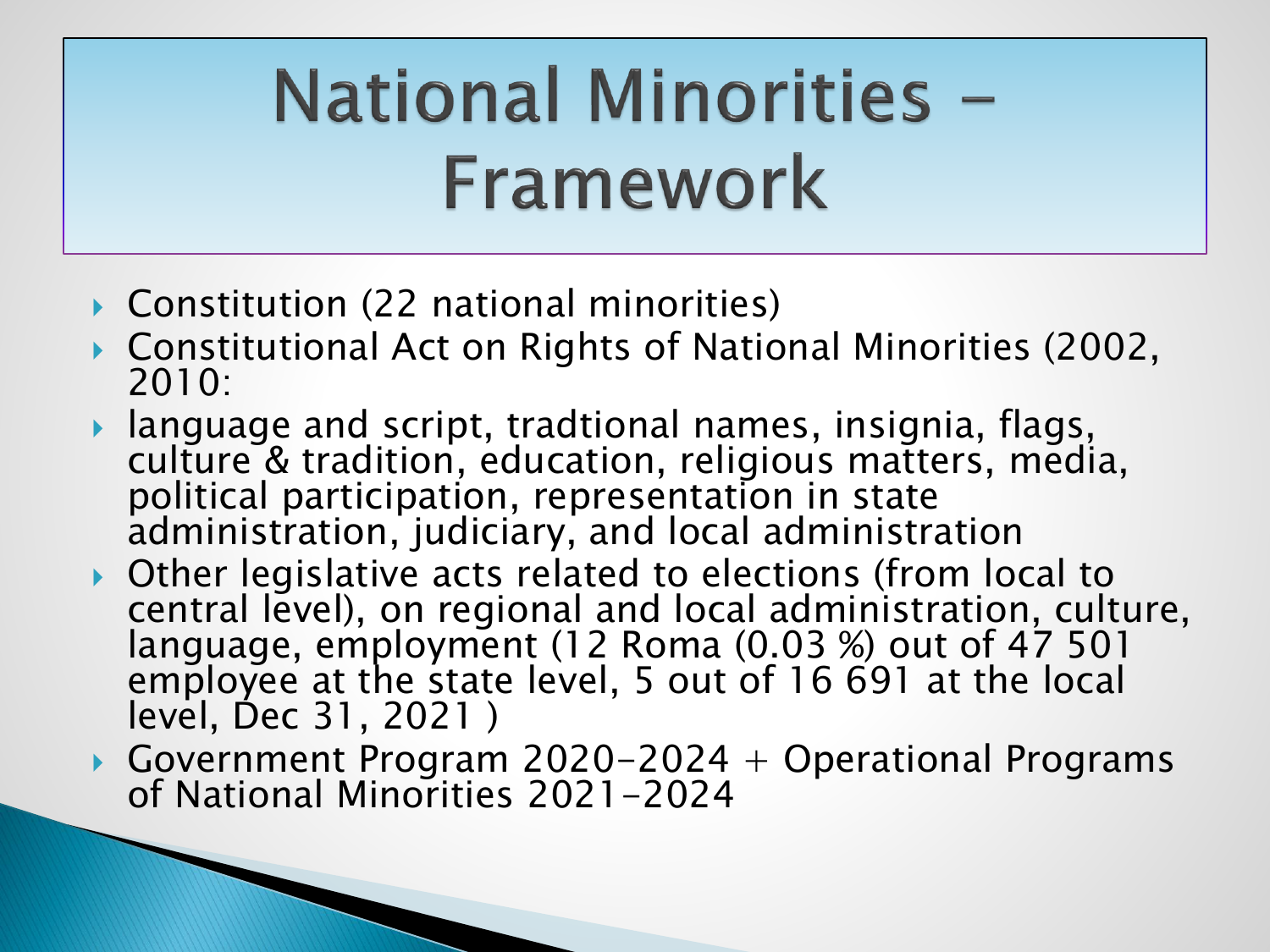## **National Minorities -**Framework

▶ Constitution (22 national minorities)

**The Common Seconds** 

- Constitutional Act on Rights of National Minorities (2002, 2010:
- language and script, tradtional names, insignia, flags, culture & tradition, education, religious matters, media, political participation, representation in state administration, judiciary, and local administration
- Other legislative acts related to elections (from local to central level), on regional and local administration, culture, language, employment (12 Roma (0.03 %) out of 47 501 employee at the state level, 5 out of 16 691 at the local level, Dec 31, 2021 )
- ▶ Government Program 2020-2024 + Operational Programs of National Minorities 2021-2024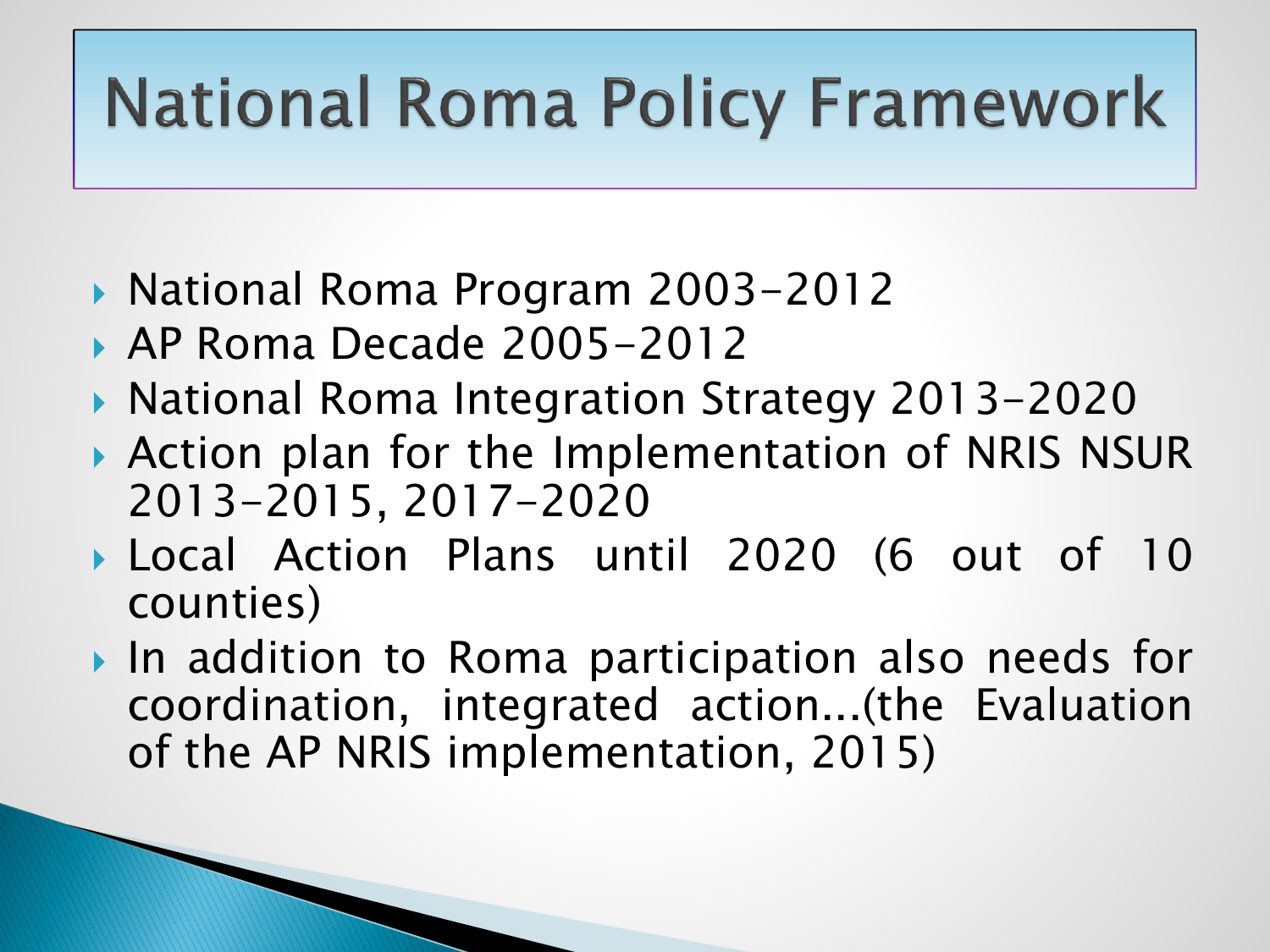#### **National Roma Policy Framework**

- ▶ National Roma Program 2003-2012
- ▶ AP Roma Decade 2005-2012
- ▶ National Roma Integration Strategy 2013-2020
- Action plan for the Implementation of NRIS NSUR 2013-2015, 2017-2020
- Local Action Plans until 2020 (6 out of 10 counties)
- ▶ In addition to Roma participation also needs for coordination, integrated action...(the Evaluation of the AP NRIS implementation, 2015)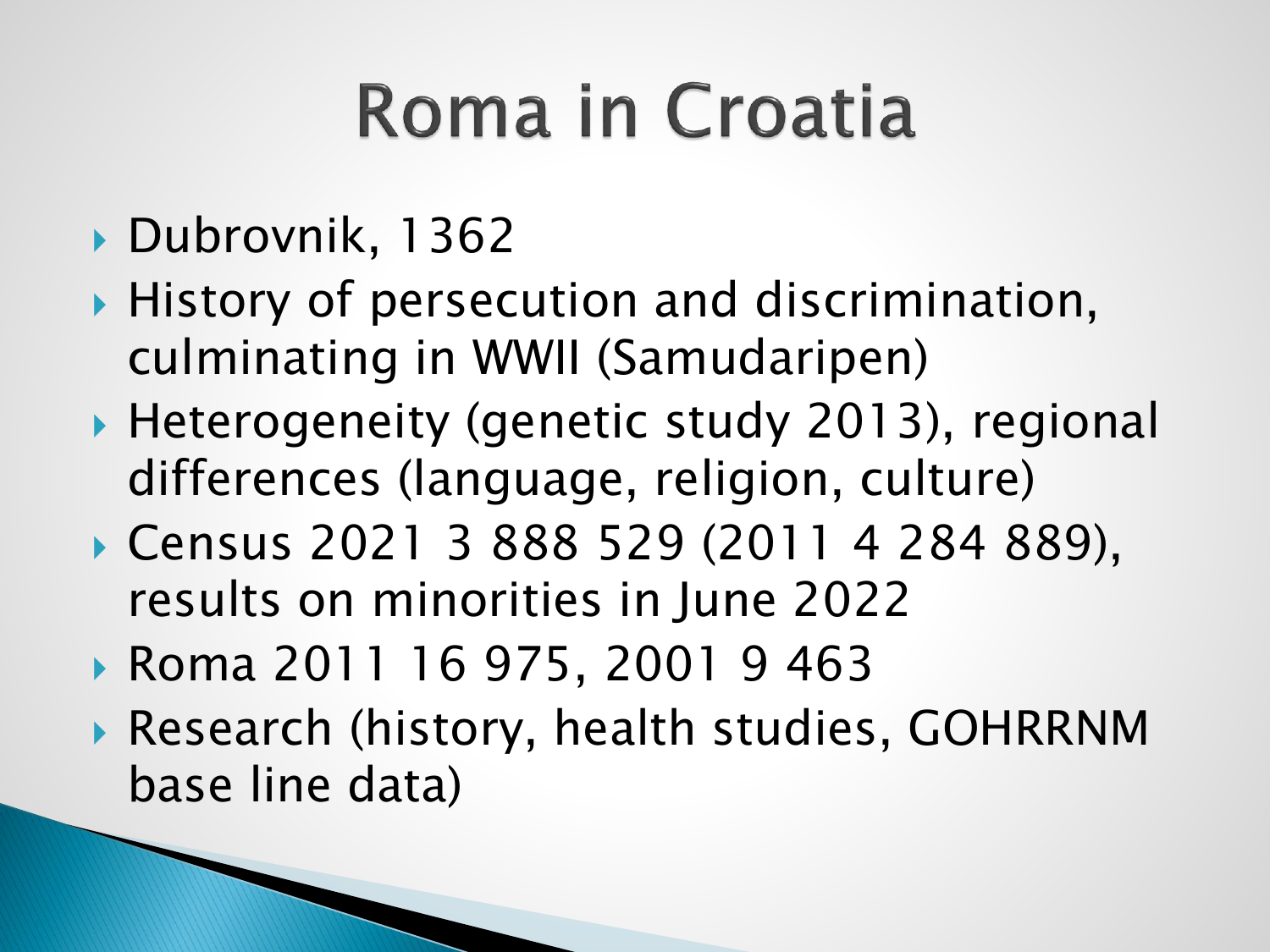## Roma in Croatia

- Dubrovnik, 1362
- ▶ History of persecution and discrimination, culminating in WWII (Samudaripen)
- ▶ Heterogeneity (genetic study 2013), regional differences (language, religion, culture)
- Census 2021 3 888 529 (2011 4 284 889), results on minorities in June 2022
- Roma 2011 16 975, 2001 9 463
- Research (history, health studies, GOHRRNM base line data)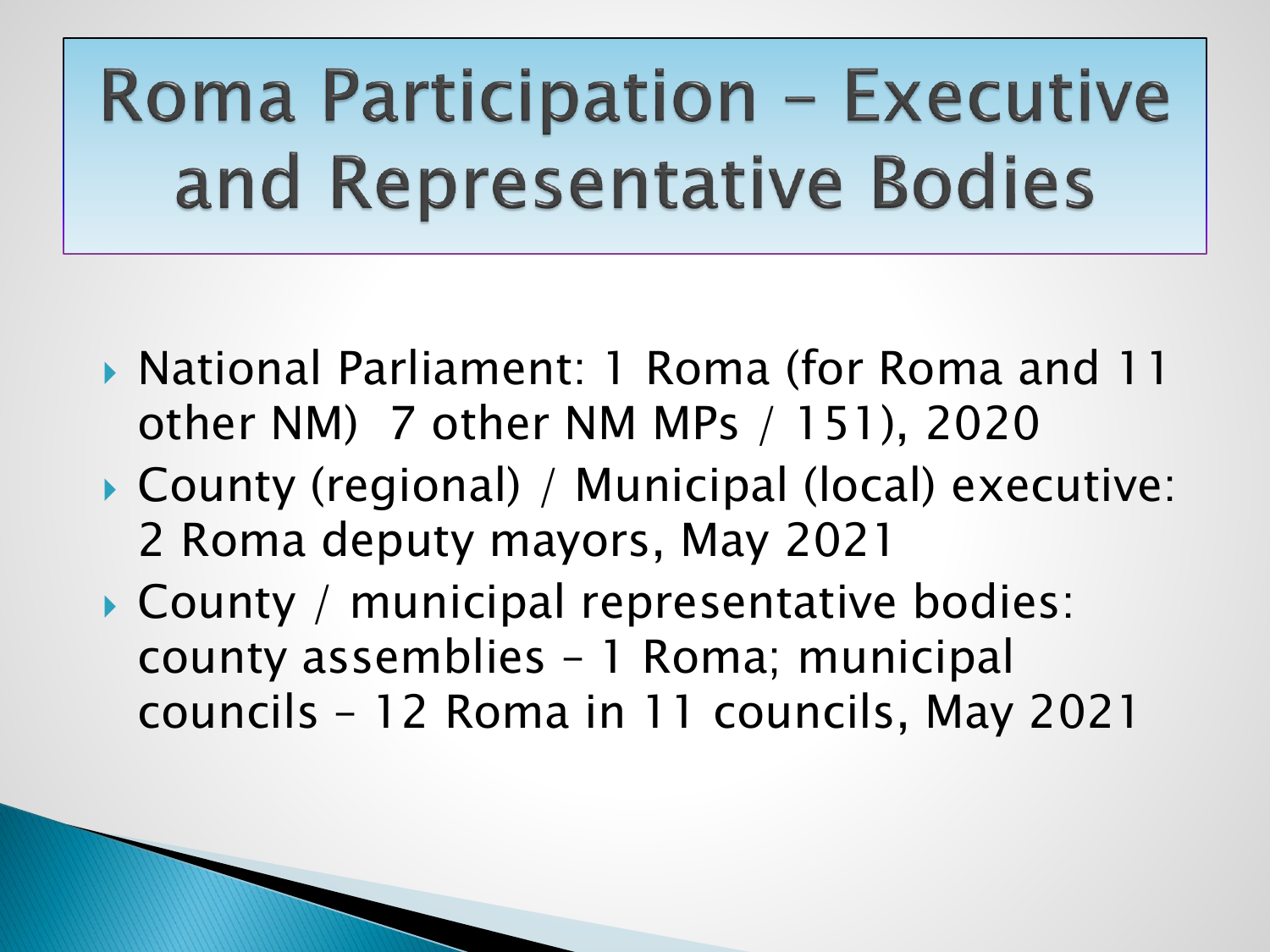### **Roma Participation - Executive** and Representative Bodies

- ▶ National Parliament: 1 Roma (for Roma and 11 other NM) 7 other NM MPs / 151), 2020
- County (regional) / Municipal (local) executive: 2 Roma deputy mayors, May 2021
- County / municipal representative bodies: county assemblies – 1 Roma; municipal councils – 12 Roma in 11 councils, May 2021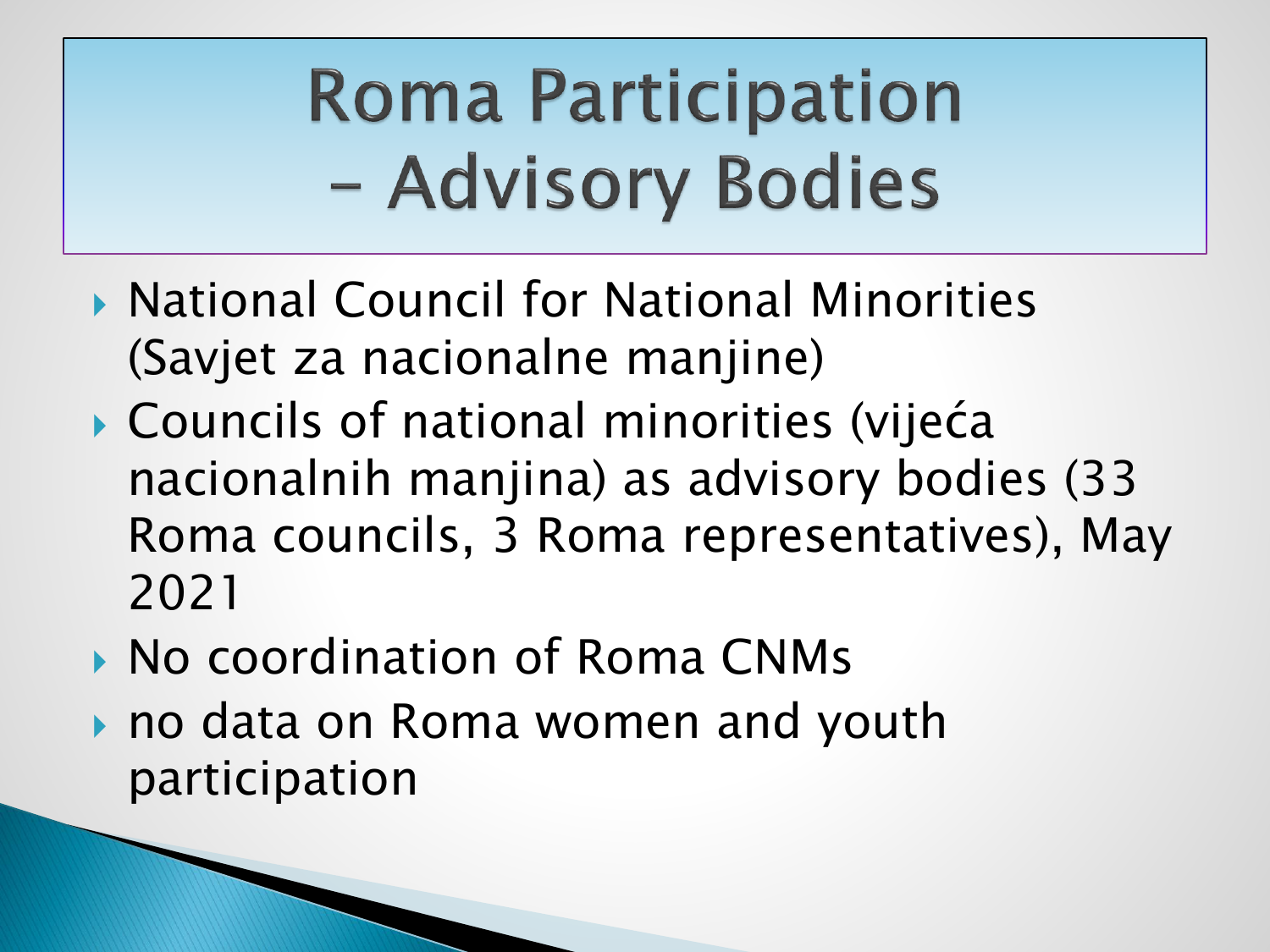## **Roma Participation** - Advisory Bodies

- ▶ National Council for National Minorities (Savjet za nacionalne manjine)
- Councils of national minorities (vijeća nacionalnih manjina) as advisory bodies (33 Roma councils, 3 Roma representatives), May 2021
- ▶ No coordination of Roma CNMs
- ▶ no data on Roma women and youth participation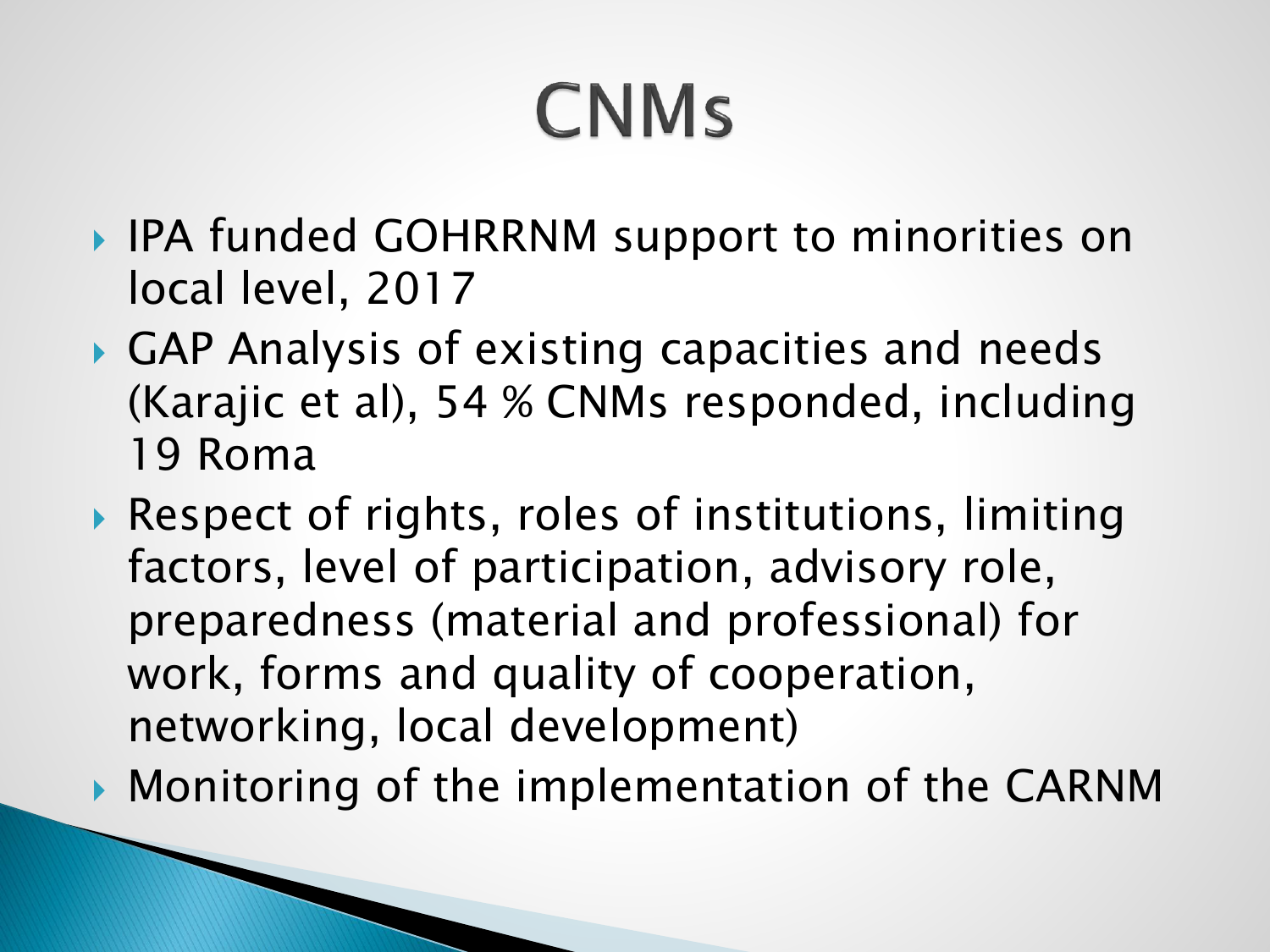## **CNMs**

- ▶ IPA funded GOHRRNM support to minorities on local level, 2017
- GAP Analysis of existing capacities and needs (Karajic et al), 54 % CNMs responded, including 19 Roma
- ▶ Respect of rights, roles of institutions, limiting factors, level of participation, advisory role, preparedness (material and professional) for work, forms and quality of cooperation, networking, local development)
- **Monitoring of the implementation of the CARNM**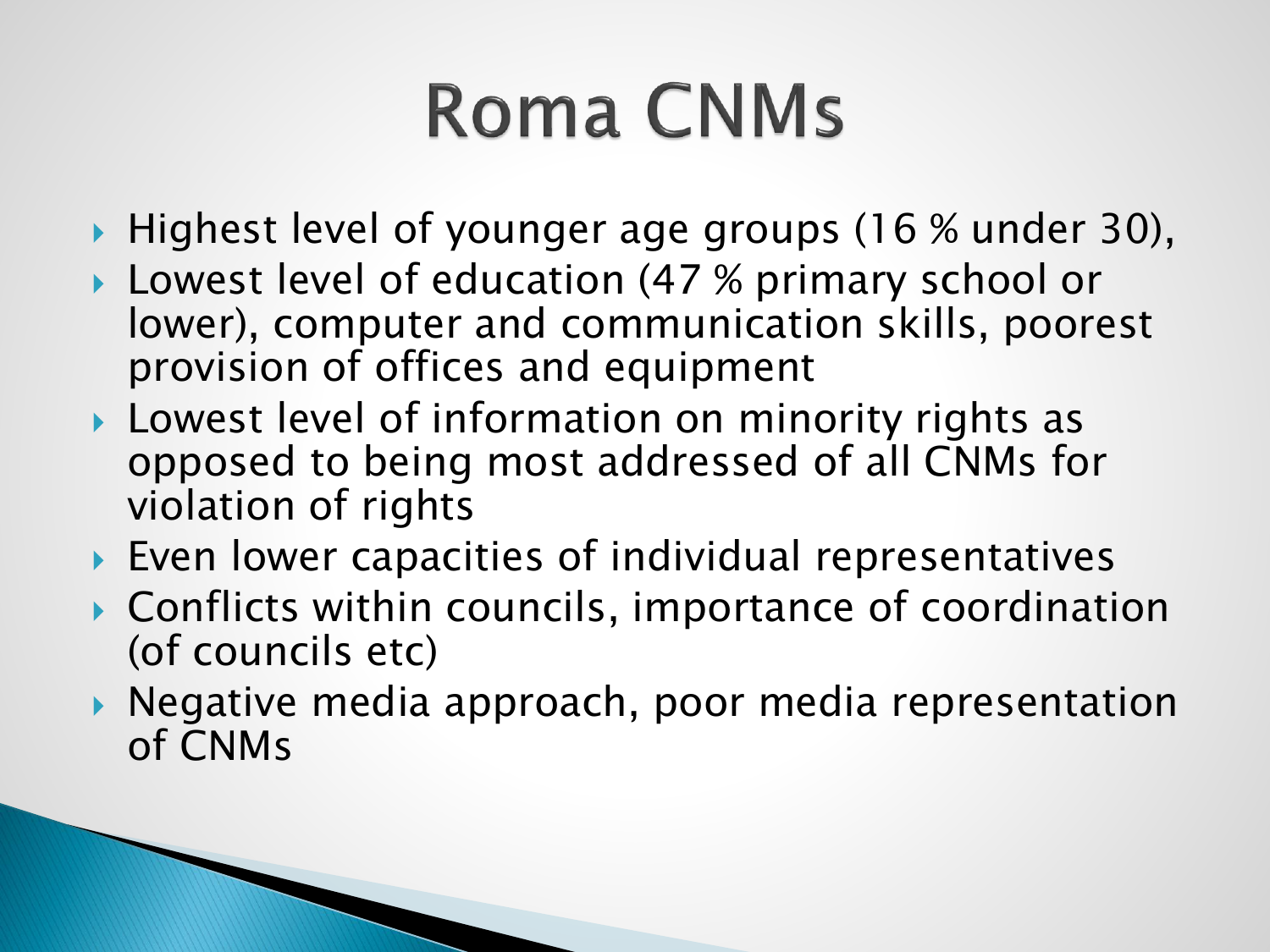## **Roma CNMs**

- ▶ Highest level of younger age groups (16 % under 30),
- ▶ Lowest level of education (47 % primary school or lower), computer and communication skills, poorest provision of offices and equipment
- **Lowest level of information on minority rights as** opposed to being most addressed of all CNMs for violation of rights
- ▶ Even lower capacities of individual representatives
- ▶ Conflicts within councils, importance of coordination (of councils etc)
- ▶ Negative media approach, poor media representation of CNMs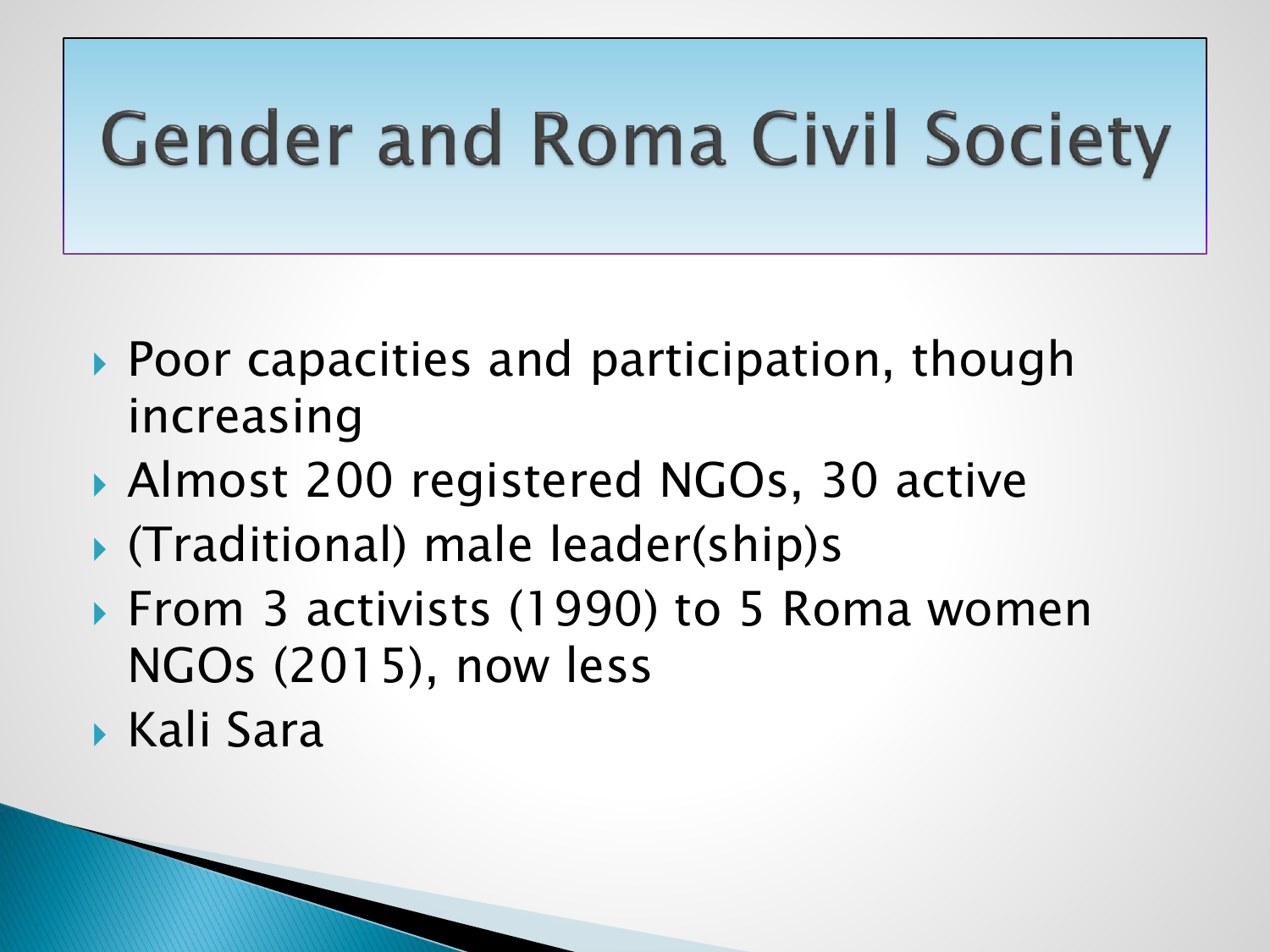#### **Gender and Roma Civil Society**

- ▶ Poor capacities and participation, though increasing
- ▶ Almost 200 registered NGOs, 30 active
- (Traditional) male leader(ship)s
- ▶ From 3 activists (1990) to 5 Roma women NGOs (2015), now less
- Kali Sara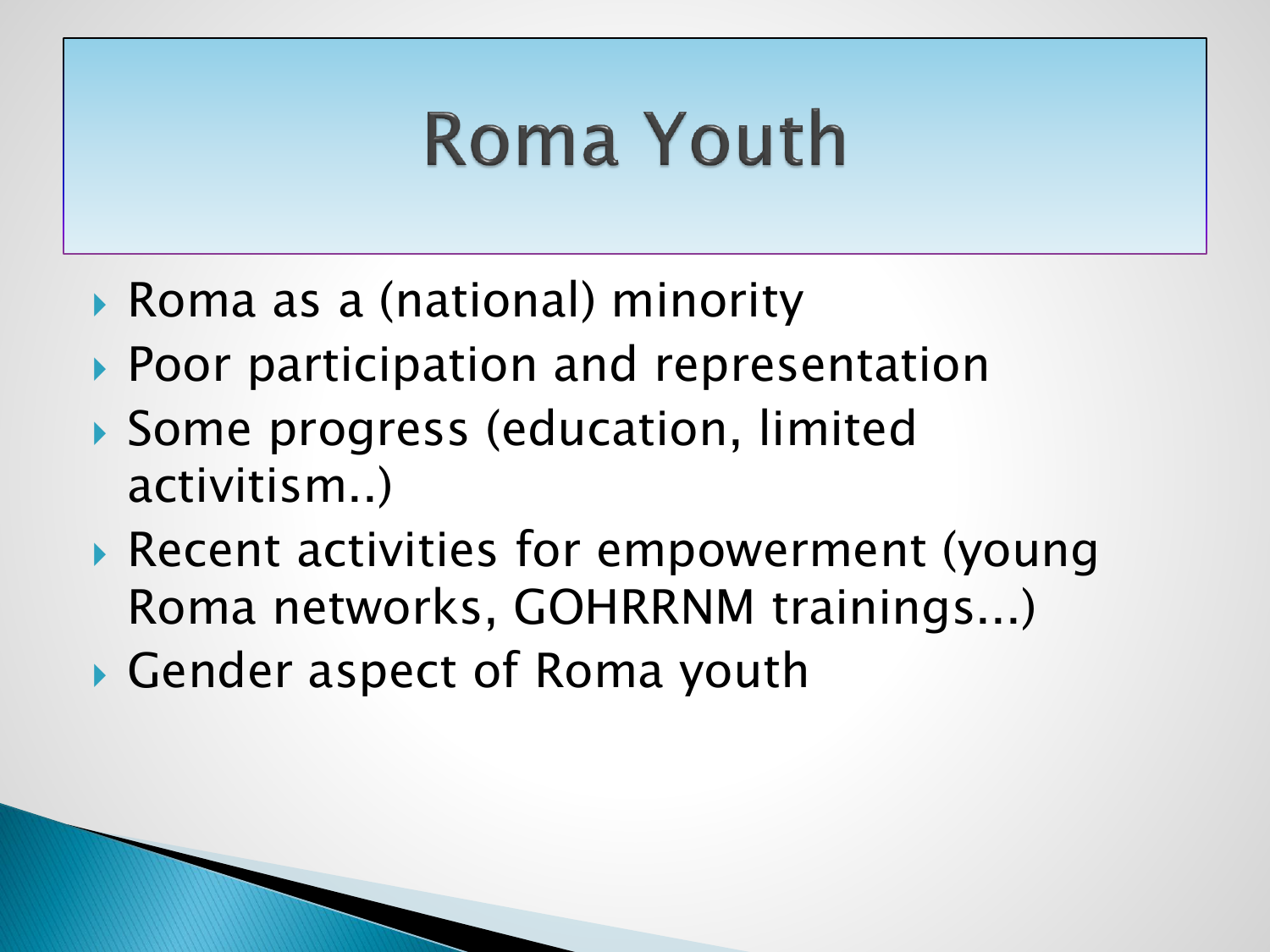#### **Roma Youth**

▶ Roma as a (national) minority

National Youth Framework

- ▶ Poor participation and representation
- Some progress (education, limited activitism..)
- Recent activities for empowerment (young Roma networks, GOHRRNM trainings...)
- Gender aspect of Roma youth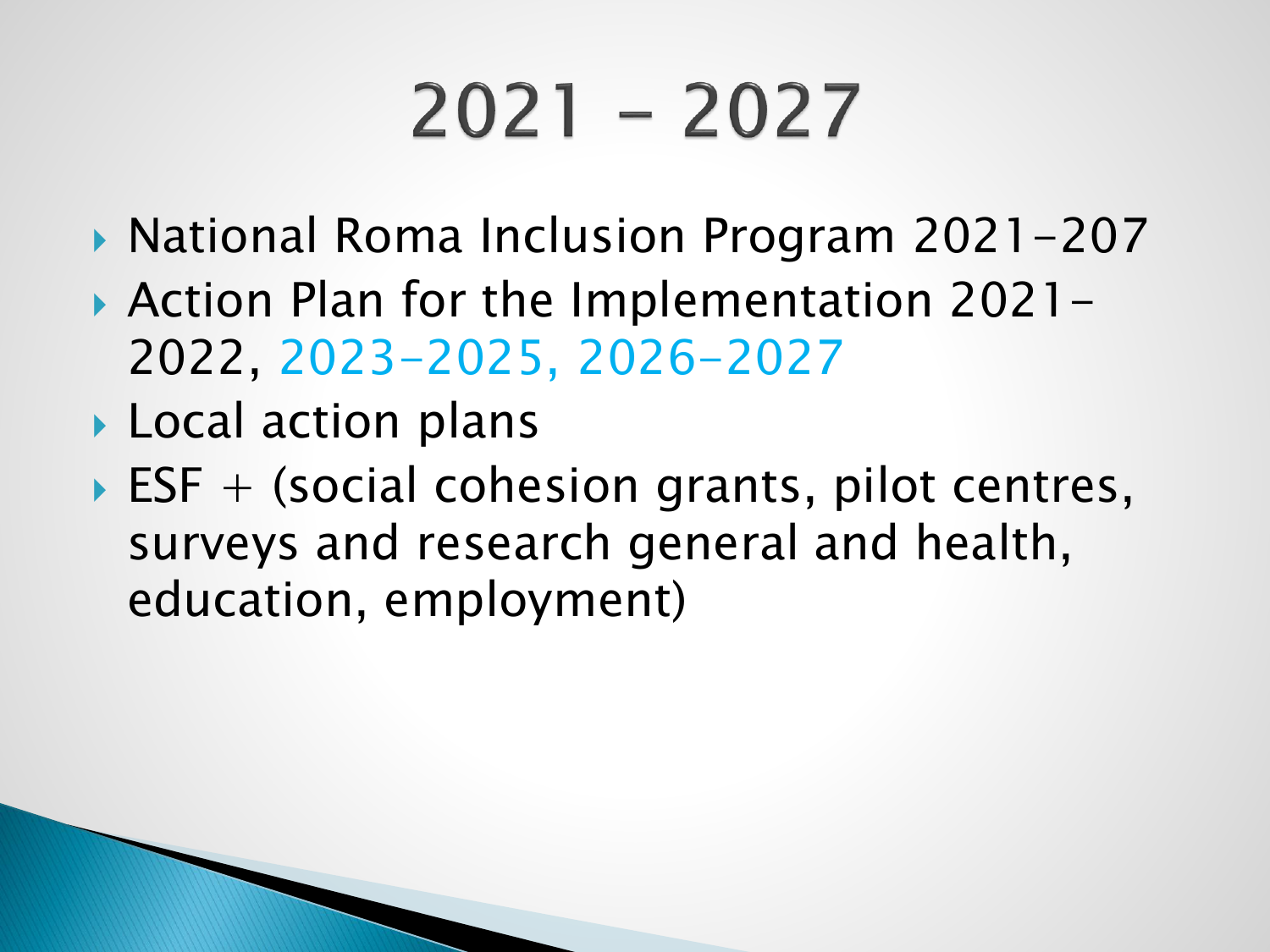# $2021 - 2027$

- ▶ National Roma Inclusion Program 2021-207
- ▶ Action Plan for the Implementation 2021-2022, 2023-2025, 2026-2027
- ▶ Local action plans
- $\triangleright$  ESF + (social cohesion grants, pilot centres, surveys and research general and health, education, employment)